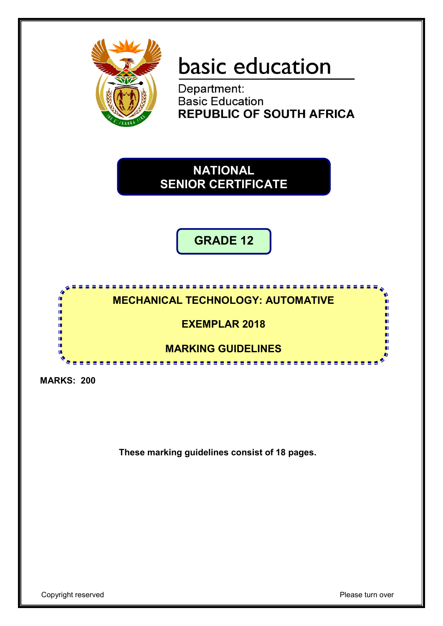

# basic education

Department: **Basic Education REPUBLIC OF SOUTH AFRICA** 

**NATIONAL SENIOR CERTIFICATE**

**GRADE 12**

# . . . . . . . . . . . . . . **MECHANICAL TECHNOLOGY: AUTOMATIVE**

**EXEMPLAR 2018**

**MARKING GUIDELINES** 

**MARKS: 200**

II. if. n. if.

**These marking guidelines consist of 18 pages.**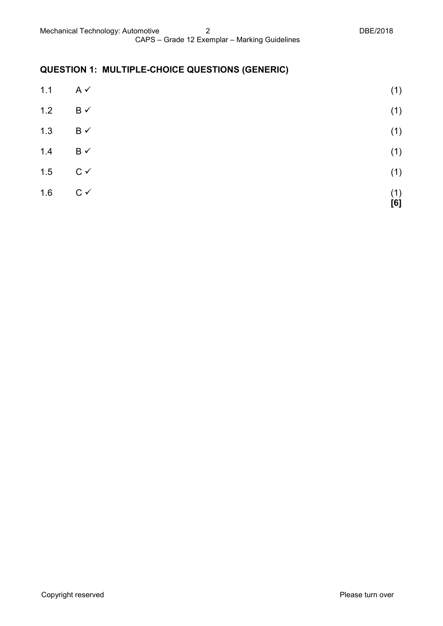# **QUESTION 1: MULTIPLE-CHOICE QUESTIONS (GENERIC)**

| 1.1 | $A \vee$       | (1)        |
|-----|----------------|------------|
| 1.2 | $B \checkmark$ | (1)        |
| 1.3 | $B \checkmark$ | (1)        |
| 1.4 | $B \checkmark$ | (1)        |
| 1.5 | $C \vee$       | (1)        |
| 1.6 | $C \vee$       | (1)<br>[6] |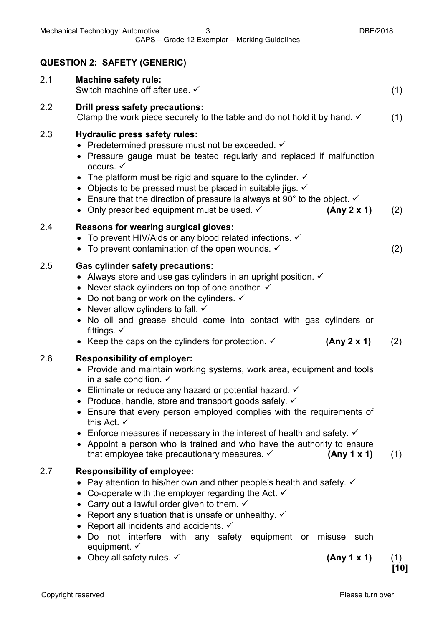|     | <b>QUESTION 2: SAFETY (GENERIC)</b>                                                                                                                                                                                                                                                                                                                                                                                                                                                                                                                                                                                        |               |
|-----|----------------------------------------------------------------------------------------------------------------------------------------------------------------------------------------------------------------------------------------------------------------------------------------------------------------------------------------------------------------------------------------------------------------------------------------------------------------------------------------------------------------------------------------------------------------------------------------------------------------------------|---------------|
| 2.1 | <b>Machine safety rule:</b><br>Switch machine off after use. ✓                                                                                                                                                                                                                                                                                                                                                                                                                                                                                                                                                             | (1)           |
| 2.2 | <b>Drill press safety precautions:</b><br>Clamp the work piece securely to the table and do not hold it by hand. $\checkmark$                                                                                                                                                                                                                                                                                                                                                                                                                                                                                              | (1)           |
| 2.3 | <b>Hydraulic press safety rules:</b><br>• Predetermined pressure must not be exceeded. $\checkmark$<br>• Pressure gauge must be tested regularly and replaced if malfunction<br>occurs. $\checkmark$<br>• The platform must be rigid and square to the cylinder. $\checkmark$<br>• Objects to be pressed must be placed in suitable jigs. $\checkmark$<br>• Ensure that the direction of pressure is always at 90 $^{\circ}$ to the object. $\checkmark$<br>• Only prescribed equipment must be used. $\checkmark$<br>(Any 2 x 1)                                                                                          | (2)           |
| 2.4 | Reasons for wearing surgical gloves:<br>• To prevent HIV/Aids or any blood related infections. $\checkmark$<br>• To prevent contamination of the open wounds. $\checkmark$                                                                                                                                                                                                                                                                                                                                                                                                                                                 | (2)           |
| 2.5 | <b>Gas cylinder safety precautions:</b><br>• Always store and use gas cylinders in an upright position. $\checkmark$<br>• Never stack cylinders on top of one another. $\checkmark$<br>• Do not bang or work on the cylinders. $\checkmark$<br>• Never allow cylinders to fall. $\checkmark$<br>• No oil and grease should come into contact with gas cylinders or<br>fittings. $\checkmark$<br>• Keep the caps on the cylinders for protection. $\checkmark$<br>(Any 2 x 1)                                                                                                                                               | (2)           |
| 2.6 | <b>Responsibility of employer:</b><br>• Provide and maintain working systems, work area, equipment and tools<br>in a safe condition. $\checkmark$<br>Eliminate or reduce any hazard or potential hazard. $\checkmark$<br>Produce, handle, store and transport goods safely. √<br>• Ensure that every person employed complies with the requirements of<br>this Act. $\checkmark$<br>• Enforce measures if necessary in the interest of health and safety. $\checkmark$<br>• Appoint a person who is trained and who have the authority to ensure<br>that employee take precautionary measures. $\checkmark$<br>(Any 1 x 1) | (1)           |
| 2.7 | <b>Responsibility of employee:</b><br>Pay attention to his/her own and other people's health and safety. $\checkmark$<br>• Co-operate with the employer regarding the Act. $\checkmark$<br>Carry out a lawful order given to them. $\checkmark$<br>• Report any situation that is unsafe or unhealthy. $\checkmark$<br>• Report all incidents and accidents. $\checkmark$<br>Do not interfere with any safety equipment or misuse such<br>equipment. $\checkmark$                                                                                                                                                          |               |
|     | • Obey all safety rules. $\checkmark$<br>(Any 1 x 1)                                                                                                                                                                                                                                                                                                                                                                                                                                                                                                                                                                       | (1)<br>$[10]$ |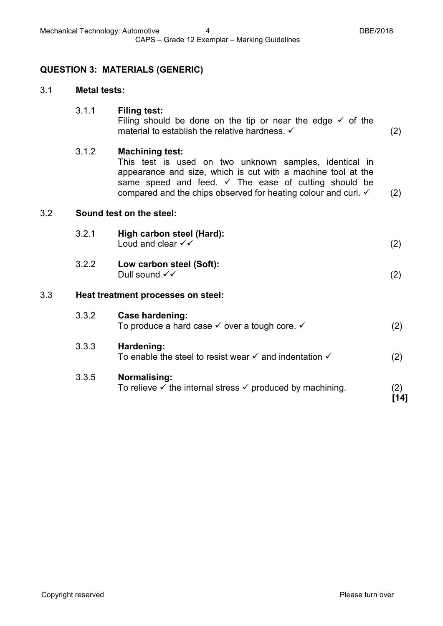## **QUESTION 3: MATERIALS (GENERIC)**

#### 3.1 **Metal tests:**

#### 3.1.1 **Filing test:**

Filing should be done on the tip or near the edge  $\checkmark$  of the material to establish the relative hardness.  $\checkmark$  (2)

#### 3.1.2 **Machining test:**

This test is used on two unknown samples, identical in appearance and size, which is cut with a machine tool at the same speed and feed.  $\checkmark$  The ease of cutting should be compared and the chips observed for heating colour and curl.  $\checkmark$  (2)

#### 3.2 **Sound test on the steel:**

|     | 3.2.1 | High carbon steel (Hard):<br>Loud and clear $\checkmark\checkmark$ | (2) |
|-----|-------|--------------------------------------------------------------------|-----|
|     | 3.2.2 | Low carbon steel (Soft):<br>Dull sound $\checkmark\checkmark$      | (2) |
| 3.3 |       | Heat treatment processes on steel:                                 |     |
|     | ר כי  | Cooo hordoning:                                                    |     |

| 3.3.2 | Case hardening:<br>To produce a hard case $\checkmark$ over a tough core. $\checkmark$     | (2) |
|-------|--------------------------------------------------------------------------------------------|-----|
| 3.3.3 | Hardening:<br>To enable the steel to resist wear $\checkmark$ and indentation $\checkmark$ | (2) |
| 3.3.5 | Normalising:                                                                               |     |

To relieve  $\checkmark$  the internal stress  $\checkmark$  produced by machining. (2)

**[14]**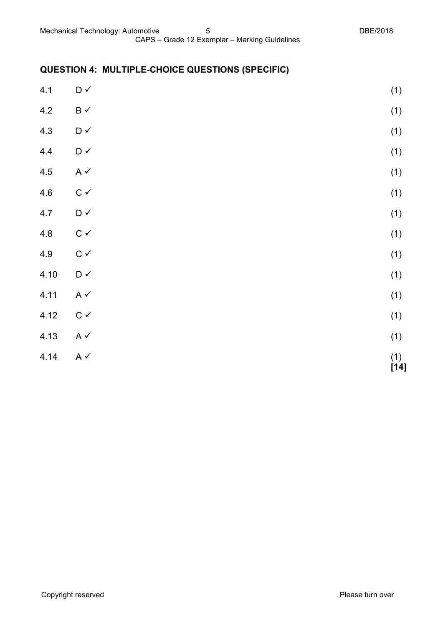# **QUESTION 4: MULTIPLE-CHOICE QUESTIONS (SPECIFIC)**

| 4.1  | $\mathsf{D} \mathrel{\checkmark}$ | (1) |
|------|-----------------------------------|-----|
| 4.2  | $\mathsf B\prec$                  | (1) |
| 4.3  | $\mathsf{D} \mathrel{\checkmark}$ | (1) |
| 4.4  | $\mathsf{D} \mathrel{\checkmark}$ | (1) |
| 4.5  | A $\checkmark$                    | (1) |
| 4.6  | $\mathtt{C}\,\checkmark$          | (1) |
| 4.7  | $\mathsf{D} \mathrel{\checkmark}$ | (1) |
| 4.8  | $\mathtt{C}\,\checkmark$          | (1) |
| 4.9  | $\mathtt{C}\,\checkmark$          | (1) |
| 4.10 | $\mathsf{D} \mathrel{\checkmark}$ | (1) |
| 4.11 | A $\checkmark$                    | (1) |
| 4.12 | $\mathtt{C}\,\checkmark$          | (1) |
| 4.13 | A $\checkmark$                    | (1) |
| 4.14 | A $\checkmark$                    | (1) |

 $(14)$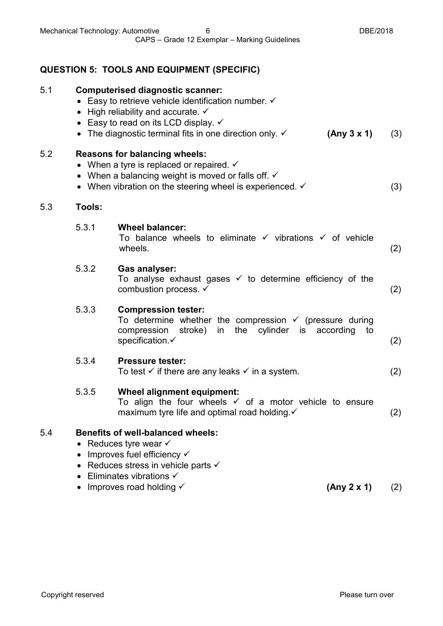# **QUESTION 5: TOOLS AND EQUIPMENT (SPECIFIC)**

| 5.1 |           | <b>Computerised diagnostic scanner:</b><br>• Easy to retrieve vehicle identification number. $\checkmark$<br>• High reliability and accurate. $\checkmark$<br>• Easy to read on its LCD display. $\checkmark$<br>• The diagnostic terminal fits in one direction only. $\checkmark$<br>(Any 3 x 1) | (3) |
|-----|-----------|----------------------------------------------------------------------------------------------------------------------------------------------------------------------------------------------------------------------------------------------------------------------------------------------------|-----|
| 5.2 |           | <b>Reasons for balancing wheels:</b><br>• When a tyre is replaced or repaired. $\checkmark$<br>• When a balancing weight is moved or falls off. $\checkmark$<br>• When vibration on the steering wheel is experienced. $\checkmark$                                                                | (3) |
| 5.3 | Tools:    |                                                                                                                                                                                                                                                                                                    |     |
|     | 5.3.1     | <b>Wheel balancer:</b><br>To balance wheels to eliminate $\checkmark$ vibrations $\checkmark$ of vehicle<br>wheels.                                                                                                                                                                                | (2) |
|     | 5.3.2     | <b>Gas analyser:</b><br>To analyse exhaust gases $\checkmark$ to determine efficiency of the<br>combustion process. ✓                                                                                                                                                                              | (2) |
|     | 5.3.3     | <b>Compression tester:</b><br>To determine whether the compression $\checkmark$ (pressure during<br>in<br>the cylinder is<br>compression<br>stroke)<br>according<br>to<br>specification.√                                                                                                          | (2) |
|     | 5.3.4     | <b>Pressure tester:</b><br>To test $\checkmark$ if there are any leaks $\checkmark$ in a system.                                                                                                                                                                                                   | (2) |
|     | 5.3.5     | Wheel alignment equipment:<br>To align the four wheels $\checkmark$ of a motor vehicle to ensure<br>maximum tyre life and optimal road holding. v                                                                                                                                                  | (2) |
| 5.4 | $\bullet$ | <b>Benefits of well-balanced wheels:</b><br>Reduces tyre wear $\checkmark$<br>Improves fuel efficiency √<br>Reduces stress in vehicle parts $\checkmark$<br>Eliminates vibrations $\checkmark$<br>Improves road holding V<br>(Any 2 x 1)                                                           | (2) |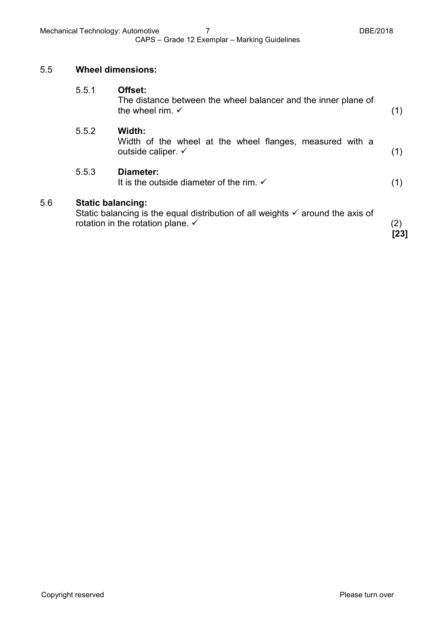#### 5.5 **Wheel dimensions:**

5.6 **Static balancing:**

| <b>Static balancing:</b> | Static balancing is the equal distribution of all weights $\checkmark$ around the axis of<br>rotation in the rotation plane. $\checkmark$ | (2)<br>[23] |
|--------------------------|-------------------------------------------------------------------------------------------------------------------------------------------|-------------|
| 5.5.3                    | Diameter:<br>It is the outside diameter of the rim. $\checkmark$                                                                          | (1)         |
| 5.5.2                    | Width:<br>Width of the wheel at the wheel flanges, measured with a<br>outside caliper. $\checkmark$                                       | (1)         |
| 5.5.1                    | Offset:<br>The distance between the wheel balancer and the inner plane of<br>the wheel rim. $\checkmark$                                  | (1)         |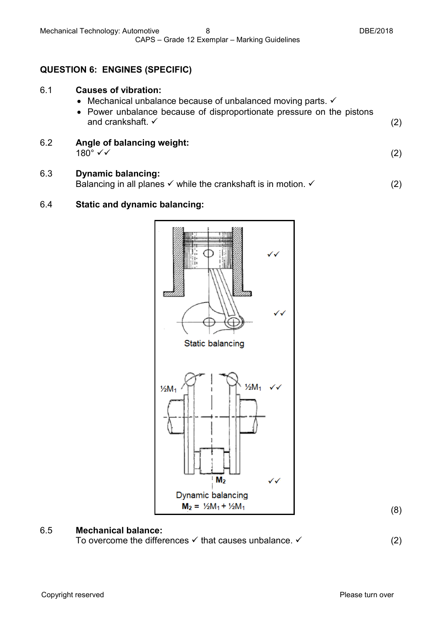## **QUESTION 6: ENGINES (SPECIFIC)**

| 6.1 | <b>Causes of vibration:</b><br>• Mechanical unbalance because of unbalanced moving parts. $\checkmark$<br>• Power unbalance because of disproportionate pressure on the pistons<br>and crankshaft. $\checkmark$ |  |
|-----|-----------------------------------------------------------------------------------------------------------------------------------------------------------------------------------------------------------------|--|
| 6.2 | Angle of balancing weight:                                                                                                                                                                                      |  |

 $180^{\circ}$   $\checkmark$  (2)

6.3 **Dynamic balancing:** Balancing in all planes  $\checkmark$  while the crankshaft is in motion.  $\checkmark$  (2)

## 6.4 **Static and dynamic balancing:**



(8)

#### 6.5 **Mechanical balance:**

To overcome the differences  $\checkmark$  that causes unbalance.  $\checkmark$  (2)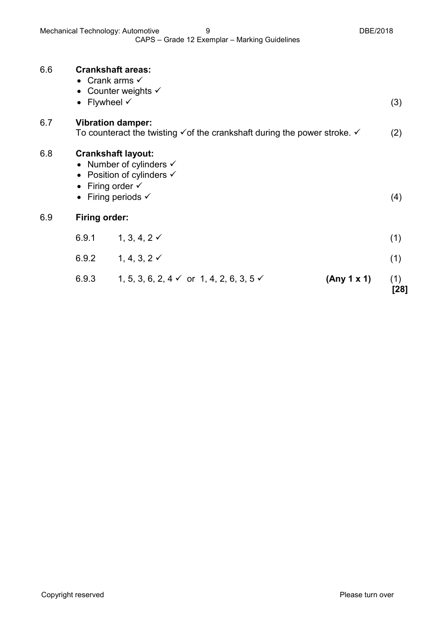| 6.6 | <b>Crankshaft areas:</b><br>• Crank arms $\checkmark$<br>Flywheel $\checkmark$<br>$\bullet$                                                                             | • Counter weights $\checkmark$                                 |             | (3)         |
|-----|-------------------------------------------------------------------------------------------------------------------------------------------------------------------------|----------------------------------------------------------------|-------------|-------------|
| 6.7 | <b>Vibration damper:</b><br>To counteract the twisting $\checkmark$ of the crankshaft during the power stroke. $\checkmark$                                             |                                                                | (2)         |             |
| 6.8 | <b>Crankshaft layout:</b><br>• Number of cylinders $\checkmark$<br>• Position of cylinders $\checkmark$<br>• Firing order $\checkmark$<br>• Firing periods $\checkmark$ |                                                                | (4)         |             |
| 6.9 | <b>Firing order:</b>                                                                                                                                                    |                                                                |             |             |
|     | 6.9.1                                                                                                                                                                   | 1, 3, 4, 2 $\checkmark$                                        |             | (1)         |
|     | 6.9.2                                                                                                                                                                   | 1, 4, 3, 2 $\checkmark$                                        |             | (1)         |
|     | 6.9.3                                                                                                                                                                   | 1, 5, 3, 6, 2, 4 $\checkmark$ or 1, 4, 2, 6, 3, 5 $\checkmark$ | (Any 1 x 1) | (1)<br>[28] |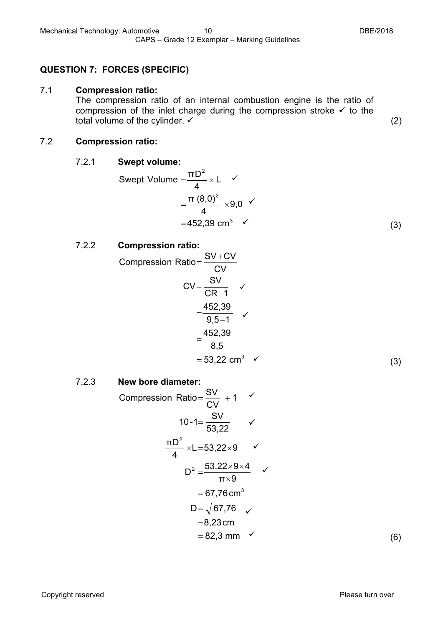## **QUESTION 7: FORCES (SPECIFIC)**

#### 7.1 **Compression ratio:**

The compression ratio of an internal combustion engine is the ratio of compression of the inlet charge during the compression stroke  $\checkmark$  to the total volume of the cylinder.  $\checkmark$   $\checkmark$   $\checkmark$   $\checkmark$   $\checkmark$  (2)

#### 7.2 **Compression ratio:**

## 7.2.1 **Swept volume:**

Swept Volume = 
$$
\frac{\pi D^2}{4} \times L
$$
  $\checkmark$ 

\n
$$
= \frac{\pi (8.0)^2}{4} \times 9.0
$$
\n
$$
= 452.39 \, \text{cm}^3
$$
\n(3)

## 7.2.2 **Compression ratio:**

Compression Ratio =

\n
$$
\frac{SV + CV}{CV}
$$
\n
$$
CV = \frac{SV}{CR - 1} \quad \checkmark
$$
\n
$$
= \frac{452,39}{9,5 - 1} \quad \checkmark
$$
\n
$$
= \frac{452,39}{8,5}
$$
\n
$$
= 53,22 \text{ cm}^3 \quad \checkmark
$$
\n(3)

7.2.3 **New bore diameter:**

Compression Ratio = 
$$
\frac{SV}{CV} + 1
$$

\n $10-1 = \frac{SV}{53,22}$ 

\n $\frac{\pi D^2}{4} \times L = 53,22 \times 9$ 

\n $D^2 = \frac{53,22 \times 9 \times 4}{\pi \times 9}$ 

\n $= 67,76 \text{ cm}^3$ 

\n $D = \sqrt{67,76}$ 

\n $= 8,23 \text{ cm}$ 

\n $= 82,3 \text{ mm}$ 

(6)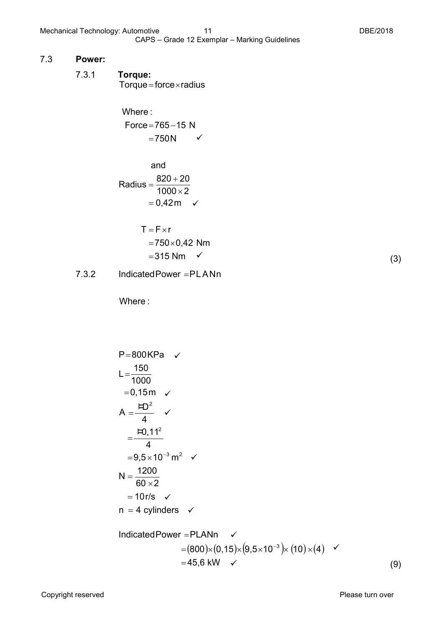#### 7.3 **Power:**

 $Torque = force \times radius$ 

 $=750N$   $\checkmark$  $Force = 765 - 15$  N Where :

and  
\nRadius = 
$$
\frac{820 + 20}{1000 \times 2}
$$
\n= 0,42m

$$
T = F \times r
$$
  
= 750 × 0,42 Nm  
= 315 Nm

7.3.2 IndicatedPower =PLANn

Where :

P=800KPa  
\nL=
$$
\frac{150}{1000}
$$
  
\n=0,15m  
\nA= $\frac{HD^2}{4}$   
\n= $\frac{FD^2}{4}$   
\n=9,5×10<sup>-3</sup> m<sup>2</sup>   
\nN =  $\frac{1200}{60 \times 2}$   
\n= 10r/s  
\nN = 4 cylinders  
\n $=(800)\times(0,15)\times(9,5\times10^{-3})\times(10)\times(4)$    
\n= 45,6 kW

(3)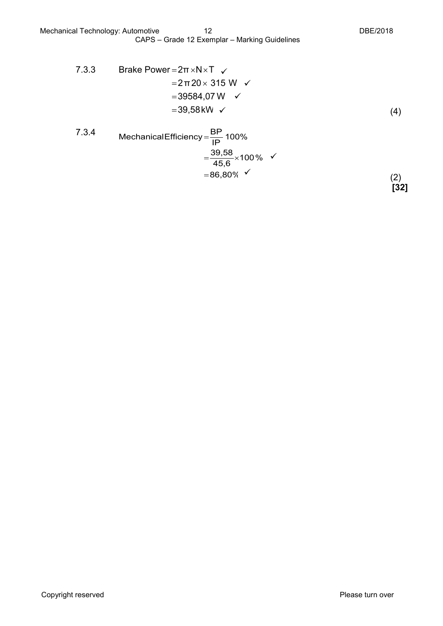7.3.4 MechanicalEfficiency = 
$$
\frac{BP}{IP}
$$
 100%  
=  $\frac{39.58}{45.6} \times 100\%$    
= 86.80% (2) [32]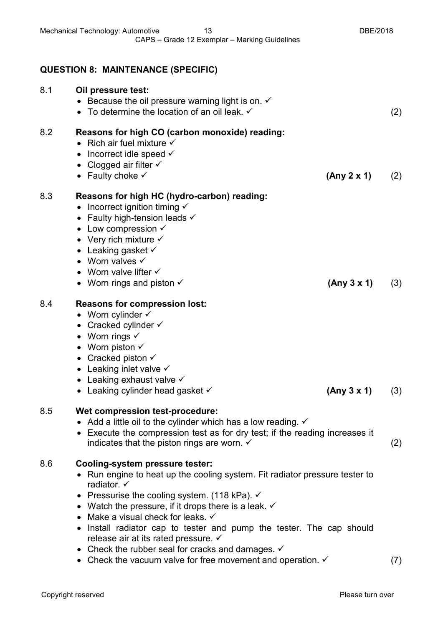|     | <b>QUESTION 8: MAINTENANCE (SPECIFIC)</b>                                                                                                                                                                                                                                                                                                                                                                                                                                                                                                                                                   |     |
|-----|---------------------------------------------------------------------------------------------------------------------------------------------------------------------------------------------------------------------------------------------------------------------------------------------------------------------------------------------------------------------------------------------------------------------------------------------------------------------------------------------------------------------------------------------------------------------------------------------|-----|
| 8.1 | Oil pressure test:<br>• Because the oil pressure warning light is on. $\checkmark$<br>• To determine the location of an oil leak. $\checkmark$                                                                                                                                                                                                                                                                                                                                                                                                                                              | (2) |
| 8.2 | Reasons for high CO (carbon monoxide) reading:<br>• Rich air fuel mixture $\checkmark$<br>• Incorrect idle speed $\checkmark$<br>• Clogged air filter $\checkmark$<br>• Faulty choke $\checkmark$<br>(Any 2 x 1)                                                                                                                                                                                                                                                                                                                                                                            | (2) |
| 8.3 | Reasons for high HC (hydro-carbon) reading:<br>• Incorrect ignition timing $\checkmark$<br>• Faulty high-tension leads $\checkmark$<br>• Low compression $\checkmark$<br>• Very rich mixture $\checkmark$<br>• Leaking gasket $\checkmark$<br>• Worn valves $\checkmark$<br>• Worn valve lifter $\checkmark$<br>• Worn rings and piston $\checkmark$<br>(Any 3 x 1)                                                                                                                                                                                                                         | (3) |
| 8.4 | Reasons for compression lost:<br>• Worn cylinder $\checkmark$<br>• Cracked cylinder $\checkmark$<br>• Worn rings $\checkmark$<br>• Worn piston $\checkmark$<br>• Cracked piston $\checkmark$<br>Leaking inlet valve $\checkmark$<br>• Leaking exhaust valve $\checkmark$<br>(Any 3 x 1)<br>• Leaking cylinder head gasket $\checkmark$                                                                                                                                                                                                                                                      | (3) |
| 8.5 | Wet compression test-procedure:<br>• Add a little oil to the cylinder which has a low reading. $\checkmark$<br>• Execute the compression test as for dry test; if the reading increases it<br>indicates that the piston rings are worn. $\checkmark$                                                                                                                                                                                                                                                                                                                                        | (2) |
| 8.6 | Cooling-system pressure tester:<br>• Run engine to heat up the cooling system. Fit radiator pressure tester to<br>radiator. $\checkmark$<br>• Pressurise the cooling system. (118 kPa). $\checkmark$<br>• Watch the pressure, if it drops there is a leak. $\checkmark$<br>• Make a visual check for leaks. $\checkmark$<br>Install radiator cap to tester and pump the tester. The cap should<br>release air at its rated pressure. $\checkmark$<br>• Check the rubber seal for cracks and damages. $\checkmark$<br>• Check the vacuum valve for free movement and operation. $\checkmark$ | (7) |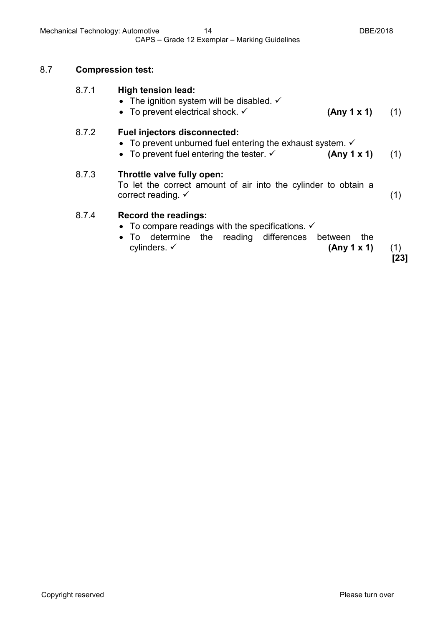## 8.7 **Compression test:**

| 8.7.1 | <b>High tension lead:</b><br>• The ignition system will be disabled. $\checkmark$<br>• To prevent electrical shock. $\checkmark$<br>(Any 1 x 1)                                               | (1)           |
|-------|-----------------------------------------------------------------------------------------------------------------------------------------------------------------------------------------------|---------------|
| 8.7.2 | <b>Fuel injectors disconnected:</b><br>• To prevent unburned fuel entering the exhaust system. $\checkmark$<br>• To prevent fuel entering the tester. $\checkmark$<br>(Any 1 x 1)             | (1)           |
| 8.7.3 | Throttle valve fully open:<br>To let the correct amount of air into the cylinder to obtain a<br>correct reading. $\checkmark$                                                                 | (1)           |
| 8.7.4 | <b>Record the readings:</b><br>• To compare readings with the specifications. $\checkmark$<br>• To determine the reading differences between<br>the<br>cylinders. $\checkmark$<br>(Any 1 x 1) | (1)<br>$[23]$ |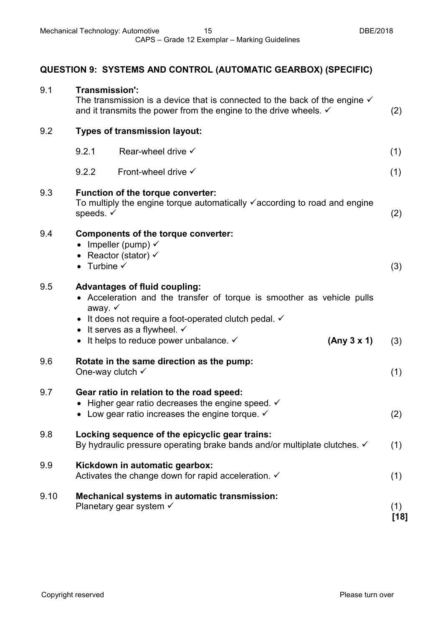# **QUESTION 9: SYSTEMS AND CONTROL (AUTOMATIC GEARBOX) (SPECIFIC)**

| 9.1  | Transmission':                  | The transmission is a device that is connected to the back of the engine $\checkmark$<br>and it transmits the power from the engine to the drive wheels. $\checkmark$                                                                                                             |             | (2)         |
|------|---------------------------------|-----------------------------------------------------------------------------------------------------------------------------------------------------------------------------------------------------------------------------------------------------------------------------------|-------------|-------------|
| 9.2  |                                 | <b>Types of transmission layout:</b>                                                                                                                                                                                                                                              |             |             |
|      | 9.2.1                           | Rear-wheel drive $\checkmark$                                                                                                                                                                                                                                                     |             | (1)         |
|      | 9.2.2                           | Front-wheel drive $\checkmark$                                                                                                                                                                                                                                                    |             | (1)         |
| 9.3  | speeds. √                       | Function of the torque converter:<br>To multiply the engine torque automatically $\checkmark$ according to road and engine                                                                                                                                                        |             | (2)         |
| 9.4  | • Turbine $\checkmark$          | <b>Components of the torque converter:</b><br>• Impeller (pump) $\checkmark$<br>• Reactor (stator) $\checkmark$                                                                                                                                                                   |             | (3)         |
| 9.5  | away. $\checkmark$<br>$\bullet$ | <b>Advantages of fluid coupling:</b><br>• Acceleration and the transfer of torque is smoother as vehicle pulls<br>• It does not require a foot-operated clutch pedal. $\checkmark$<br>It serves as a flywheel. $\checkmark$<br>• It helps to reduce power unbalance. $\checkmark$ | (Any 3 x 1) | (3)         |
| 9.6  |                                 | Rotate in the same direction as the pump:<br>One-way clutch $\checkmark$                                                                                                                                                                                                          |             | (1)         |
| 9.7  |                                 | Gear ratio in relation to the road speed:<br>Higher gear ratio decreases the engine speed. $\checkmark$<br>• Low gear ratio increases the engine torque. $\checkmark$                                                                                                             |             | (2)         |
| 9.8  |                                 | Locking sequence of the epicyclic gear trains:<br>By hydraulic pressure operating brake bands and/or multiplate clutches. √                                                                                                                                                       |             | (1)         |
| 9.9  |                                 | Kickdown in automatic gearbox:<br>Activates the change down for rapid acceleration. V                                                                                                                                                                                             |             | (1)         |
| 9.10 |                                 | Mechanical systems in automatic transmission:<br>Planetary gear system $\checkmark$                                                                                                                                                                                               |             | (1)<br>[18] |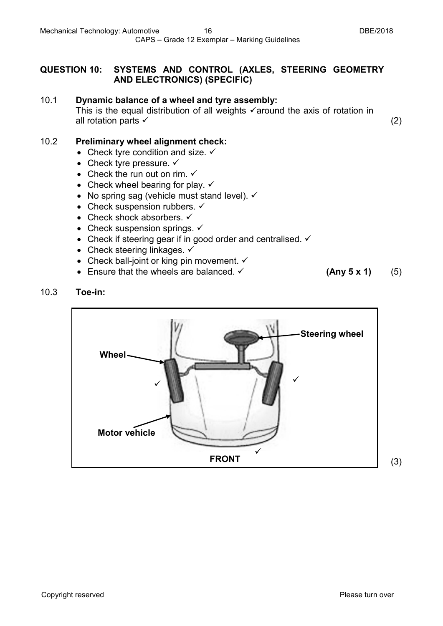## **QUESTION 10: SYSTEMS AND CONTROL (AXLES, STEERING GEOMETRY AND ELECTRONICS) (SPECIFIC)**

#### 10.1 **Dynamic balance of a wheel and tyre assembly:**

This is the equal distribution of all weights  $\checkmark$  around the axis of rotation in all rotation parts  $\checkmark$  (2)

#### 10.2 **Preliminary wheel alignment check:**

- Check tyre condition and size.  $\checkmark$
- Check tyre pressure.  $\checkmark$
- Check the run out on rim.  $\checkmark$
- Check wheel bearing for play.  $\checkmark$
- No spring sag (vehicle must stand level).  $\checkmark$
- Check suspension rubbers.  $\checkmark$
- Check shock absorbers.  $\checkmark$
- Check suspension springs.  $\checkmark$
- Check if steering gear if in good order and centralised.  $\checkmark$
- Check steering linkages.  $\checkmark$
- Check ball-joint or king pin movement.  $\checkmark$
- Ensure that the wheels are balanced. **(Any 5 x 1)** (5)
- 

## 10.3 **Toe-in:**

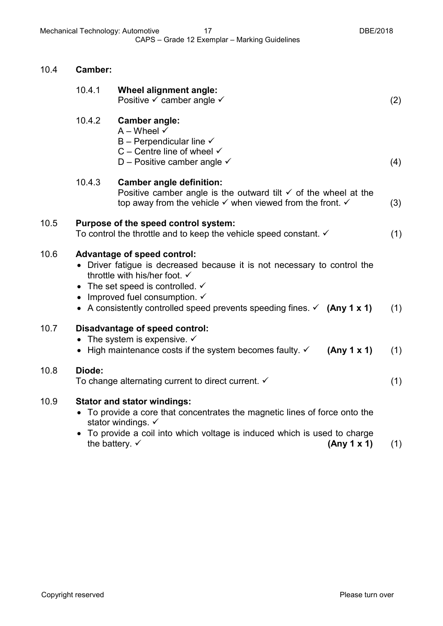10.4 **Camber:**

|      | 10.4.1                                                                                                                                                                                                                                                                                                                                        | Wheel alignment angle:<br>Positive $\checkmark$ camber angle $\checkmark$                                                                                                                                                                                       | (2) |
|------|-----------------------------------------------------------------------------------------------------------------------------------------------------------------------------------------------------------------------------------------------------------------------------------------------------------------------------------------------|-----------------------------------------------------------------------------------------------------------------------------------------------------------------------------------------------------------------------------------------------------------------|-----|
|      | 10.4.2                                                                                                                                                                                                                                                                                                                                        | <b>Camber angle:</b><br>$A -$ Wheel $\checkmark$<br>B – Perpendicular line $\checkmark$<br>C – Centre line of wheel $\checkmark$<br>D – Positive camber angle $\checkmark$                                                                                      | (4) |
|      | 10.4.3                                                                                                                                                                                                                                                                                                                                        | <b>Camber angle definition:</b><br>Positive camber angle is the outward tilt $\checkmark$ of the wheel at the<br>top away from the vehicle $\checkmark$ when viewed from the front. $\checkmark$                                                                | (3) |
| 10.5 |                                                                                                                                                                                                                                                                                                                                               | Purpose of the speed control system:<br>To control the throttle and to keep the vehicle speed constant. $\checkmark$                                                                                                                                            |     |
| 10.6 | <b>Advantage of speed control:</b><br>• Driver fatigue is decreased because it is not necessary to control the<br>throttle with his/her foot. $\checkmark$<br>• The set speed is controlled. $\checkmark$<br>• Improved fuel consumption. $\checkmark$<br>• A consistently controlled speed prevents speeding fines. $\checkmark$ (Any 1 x 1) |                                                                                                                                                                                                                                                                 | (1) |
| 10.7 | Disadvantage of speed control:<br>• The system is expensive. $\checkmark$<br>• High maintenance costs if the system becomes faulty. $\checkmark$<br>(Any 1 x 1)                                                                                                                                                                               |                                                                                                                                                                                                                                                                 | (1) |
| 10.8 | Diode:<br>To change alternating current to direct current. $\checkmark$                                                                                                                                                                                                                                                                       |                                                                                                                                                                                                                                                                 | (1) |
| 10.9 |                                                                                                                                                                                                                                                                                                                                               | <b>Stator and stator windings:</b><br>• To provide a core that concentrates the magnetic lines of force onto the<br>stator windings. ✓<br>• To provide a coil into which voltage is induced which is used to charge<br>the battery. $\checkmark$<br>(Any 1 x 1) | (1) |